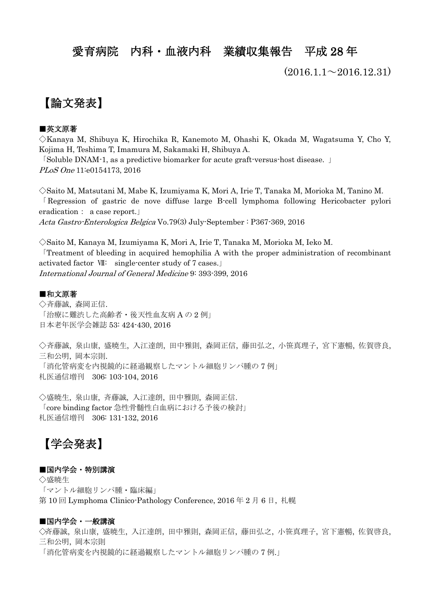## 愛育病院 内科・血液内科 業績収集報告 平成 28 年

 $(2016.1.1 \sim 2016.12.31)$ 

## 【論文発表】

### ■英文原著

◇Kanaya M, Shibuya K, Hirochika R, Kanemoto M, Ohashi K, Okada M, Wagatsuma Y, Cho Y, Kojima H, Teshima T, Imamura M, Sakamaki H, Shibuya A. 「Soluble DNAM-1, as a predictive biomarker for acute graft-versus-host disease. 」

PLoS One 11:e0154173, 2016

◇Saito M, Matsutani M, Mabe K, Izumiyama K, Mori A, Irie T, Tanaka M, Morioka M, Tanino M. 「Regression of gastric de nove diffuse large B-cell lymphoma following Hericobacter pylori eradication: a case report.」

Acta Gastro-Enterologica Belgica Vo.79(3) July-September : P367-369, 2016

◇Saito M, Kanaya M, Izumiyama K, Mori A, Irie T, Tanaka M, Morioka M, Ieko M. 「Treatment of bleeding in acquired hemophilia A with the proper administration of recombinant activated factor Ⅶ: single-center study of 7 cases.」 International Journal of General Medicine 9: 393-399, 2016

#### ■和文原著

◇斉藤誠, 森岡正信. 「治療に難渋した高齢者・後天性血友病 A の 2 例」 日本老年医学会雑誌 53: 424-430, 2016

◇斉藤誠, 泉山康, 盛暁生, 入江達朗, 田中雅則, 森岡正信, 藤田弘之, 小笹真理子, 宮下憲暢, 佐賀啓良, 三和公明, 岡本宗則. 「消化管病変を内視鏡的に経過観察したマントル細胞リンパ腫の 7 例」 札医通信増刊 306: 103-104, 2016

◇盛暁生, 泉山康, 斉藤誠, 入江達朗, 田中雅則, 森岡正信. 「core binding factor 急性骨髄性白血病における予後の検討」 札医通信増刊 306: 131-132, 2016

# 【学会発表】

### ■国内学会・特別講演

◇盛暁生 「マントル細胞リンパ腫・臨床編」 第 10 回 Lymphoma Clinico-Pathology Conference, 2016 年 2 月 6 日, 札幌

### ■国内学会・一般講演

◇斉藤誠, 泉山康, 盛暁生, 入江達朗, 田中雅則, 森岡正信, 藤田弘之, 小笹真理子, 宮下憲暢, 佐賀啓良, 三和公明, 岡本宗則 「消化管病変を内視鏡的に経過観察したマントル細胞リンパ腫の 7 例.」